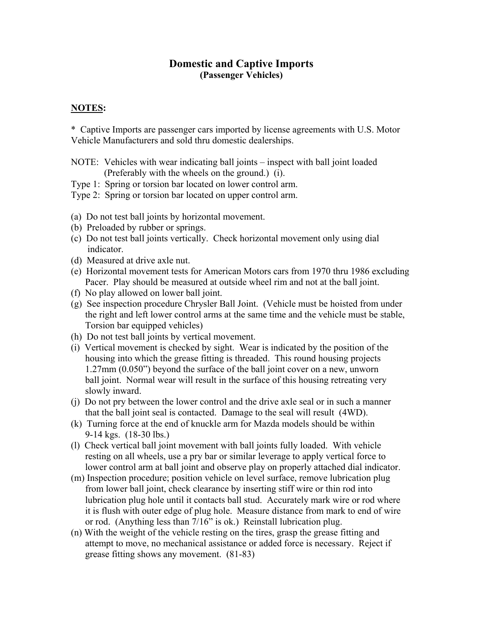# **Domestic and Captive Imports (Passenger Vehicles)**

# **NOTES:**

\* Captive Imports are passenger cars imported by license agreements with U.S. Motor Vehicle Manufacturers and sold thru domestic dealerships.

- NOTE: Vehicles with wear indicating ball joints inspect with ball joint loaded (Preferably with the wheels on the ground.) (i).
- Type 1: Spring or torsion bar located on lower control arm.
- Type 2: Spring or torsion bar located on upper control arm.
- (a) Do not test ball joints by horizontal movement.
- (b) Preloaded by rubber or springs.
- (c) Do not test ball joints vertically. Check horizontal movement only using dial indicator.
- (d) Measured at drive axle nut.
- (e) Horizontal movement tests for American Motors cars from 1970 thru 1986 excluding Pacer. Play should be measured at outside wheel rim and not at the ball joint.
- (f) No play allowed on lower ball joint.
- (g) See inspection procedure Chrysler Ball Joint. (Vehicle must be hoisted from under the right and left lower control arms at the same time and the vehicle must be stable, Torsion bar equipped vehicles)
- (h) Do not test ball joints by vertical movement.
- (i) Vertical movement is checked by sight. Wear is indicated by the position of the housing into which the grease fitting is threaded. This round housing projects 1.27mm (0.050") beyond the surface of the ball joint cover on a new, unworn ball joint. Normal wear will result in the surface of this housing retreating very slowly inward.
- (j) Do not pry between the lower control and the drive axle seal or in such a manner that the ball joint seal is contacted. Damage to the seal will result (4WD).
- (k) Turning force at the end of knuckle arm for Mazda models should be within 9-14 kgs. (18-30 lbs.)
- (l) Check vertical ball joint movement with ball joints fully loaded. With vehicle resting on all wheels, use a pry bar or similar leverage to apply vertical force to lower control arm at ball joint and observe play on properly attached dial indicator.
- (m) Inspection procedure; position vehicle on level surface, remove lubrication plug from lower ball joint, check clearance by inserting stiff wire or thin rod into lubrication plug hole until it contacts ball stud. Accurately mark wire or rod where it is flush with outer edge of plug hole. Measure distance from mark to end of wire or rod. (Anything less than 7/16" is ok.) Reinstall lubrication plug.
- (n) With the weight of the vehicle resting on the tires, grasp the grease fitting and attempt to move, no mechanical assistance or added force is necessary. Reject if grease fitting shows any movement. (81-83)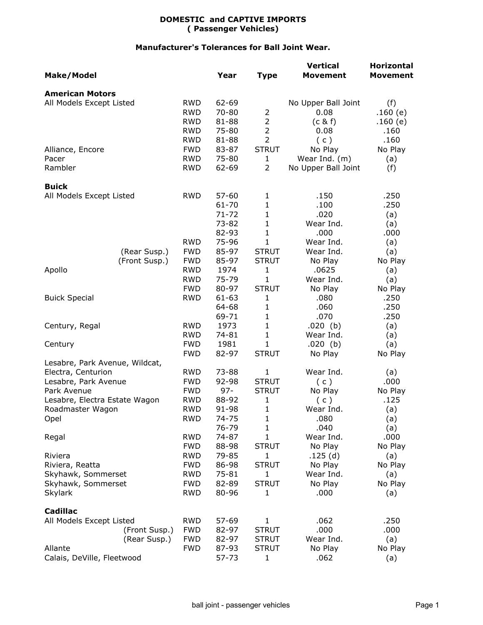### **DOMESTIC and CAPTIVE IMPORTS ( Passenger Vehicles)**

## **Manufacturer's Tolerances for Ball Joint Wear.**

| <b>Make/Model</b>                        |                          | Year               | <b>Type</b>                  | <b>Vertical</b><br><b>Movement</b> | <b>Horizontal</b><br>Movement |
|------------------------------------------|--------------------------|--------------------|------------------------------|------------------------------------|-------------------------------|
| <b>American Motors</b>                   |                          |                    |                              |                                    |                               |
| All Models Except Listed                 | <b>RWD</b>               | 62-69              |                              | No Upper Ball Joint                | (f)                           |
|                                          | <b>RWD</b>               | $70 - 80$          | $\overline{2}$               | 0.08                               | .160(e)                       |
|                                          | <b>RWD</b>               | 81-88              | $\overline{2}$               | (c & f)                            | .160(e)                       |
|                                          | <b>RWD</b>               | 75-80              | $\overline{2}$               | 0.08                               | .160                          |
|                                          | <b>RWD</b>               | 81-88              | $\overline{2}$               | (c)                                | .160                          |
| Alliance, Encore                         | <b>FWD</b>               | 83-87              | <b>STRUT</b>                 | No Play                            | No Play                       |
| Pacer                                    | <b>RWD</b>               | 75-80              | $\mathbf{1}$                 | Wear Ind. (m)                      | (a)                           |
| Rambler                                  | <b>RWD</b>               | 62-69              | $\overline{2}$               | No Upper Ball Joint                | (f)                           |
|                                          |                          |                    |                              |                                    |                               |
| <b>Buick</b><br>All Models Except Listed | <b>RWD</b>               | 57-60              | 1                            | .150                               | .250                          |
|                                          |                          | $61 - 70$          | $\mathbf{1}$                 | .100                               | .250                          |
|                                          |                          | $71 - 72$          | $\mathbf{1}$                 | .020                               |                               |
|                                          |                          | 73-82              | $\mathbf{1}$                 | Wear Ind.                          | (a)                           |
|                                          |                          | 82-93              | $\mathbf{1}$                 | .000                               | (a)<br>.000                   |
|                                          | <b>RWD</b>               | 75-96              | $\mathbf{1}$                 | Wear Ind.                          |                               |
|                                          | <b>FWD</b>               |                    |                              |                                    | (a)                           |
| (Rear Susp.)                             |                          | 85-97<br>85-97     | <b>STRUT</b>                 | Wear Ind.                          | (a)                           |
| (Front Susp.)                            | <b>FWD</b><br><b>RWD</b> |                    | <b>STRUT</b>                 | No Play                            | No Play                       |
| Apollo                                   |                          | 1974               | $\mathbf{1}$<br>$\mathbf{1}$ | .0625                              | (a)                           |
|                                          | <b>RWD</b>               | 75-79              |                              | Wear Ind.                          | (a)                           |
|                                          | <b>FWD</b>               | 80-97              | <b>STRUT</b>                 | No Play                            | No Play                       |
| <b>Buick Special</b>                     | <b>RWD</b>               | $61 - 63$<br>64-68 | 1<br>$\mathbf{1}$            | .080<br>.060                       | .250                          |
|                                          |                          |                    |                              |                                    | .250                          |
|                                          |                          | 69-71              | $\mathbf{1}$                 | .070                               | .250                          |
| Century, Regal                           | <b>RWD</b>               | 1973               | $\mathbf{1}$                 | $.020$ (b)                         | (a)                           |
|                                          | <b>RWD</b>               | 74-81              | $\mathbf{1}$                 | Wear Ind.                          | (a)                           |
| Century                                  | <b>FWD</b>               | 1981               | $\mathbf{1}$                 | $.020$ (b)                         | (a)                           |
|                                          | <b>FWD</b>               | 82-97              | <b>STRUT</b>                 | No Play                            | No Play                       |
| Lesabre, Park Avenue, Wildcat,           |                          |                    |                              |                                    |                               |
| Electra, Centurion                       | <b>RWD</b>               | 73-88              | 1                            | Wear Ind.                          | (a)                           |
| Lesabre, Park Avenue                     | <b>FWD</b>               | 92-98              | <b>STRUT</b>                 | (c)                                | .000                          |
| Park Avenue                              | <b>FWD</b>               | $97 -$             | <b>STRUT</b>                 | No Play                            | No Play                       |
| Lesabre, Electra Estate Wagon            | <b>RWD</b>               | 88-92              | $\mathbf{1}$                 | ( c )                              | .125                          |
| Roadmaster Wagon                         | <b>RWD</b>               | 91-98              | 1                            | Wear Ind.                          | (a)                           |
| Opel                                     | <b>RWD</b>               | 74-75              | 1                            | .080                               | (a)                           |
|                                          |                          | 76-79              | 1                            | .040                               | (a)                           |
| Regal                                    | <b>RWD</b>               | 74-87              | 1                            | Wear Ind.                          | .000                          |
|                                          | <b>FWD</b>               | 88-98              | <b>STRUT</b>                 | No Play                            | No Play                       |
| Riviera                                  | <b>RWD</b>               | 79-85              | 1                            | .125 (d)                           | (a)                           |
| Riviera, Reatta                          | <b>FWD</b>               | 86-98              | <b>STRUT</b>                 | No Play                            | No Play                       |
| Skyhawk, Sommerset                       | <b>RWD</b>               | $75 - 81$          | 1                            | Wear Ind.                          | (a)                           |
| Skyhawk, Sommerset                       | <b>FWD</b>               | 82-89              | <b>STRUT</b>                 | No Play                            | No Play                       |
| Skylark                                  | <b>RWD</b>               | 80-96              | 1                            | .000                               | (a)                           |
| Cadillac                                 |                          |                    |                              |                                    |                               |
| All Models Except Listed                 | <b>RWD</b>               | 57-69              | 1                            | .062                               | .250                          |
| (Front Susp.)                            | <b>FWD</b>               | 82-97              | <b>STRUT</b>                 | .000                               | .000                          |
| (Rear Susp.)                             | <b>FWD</b>               | 82-97              | STRUT                        | Wear Ind.                          | (a)                           |
| Allante                                  | <b>FWD</b>               | 87-93              | <b>STRUT</b>                 | No Play                            | No Play                       |
| Calais, DeVille, Fleetwood               |                          | 57-73              | $\mathbf{1}$                 | .062                               | (a)                           |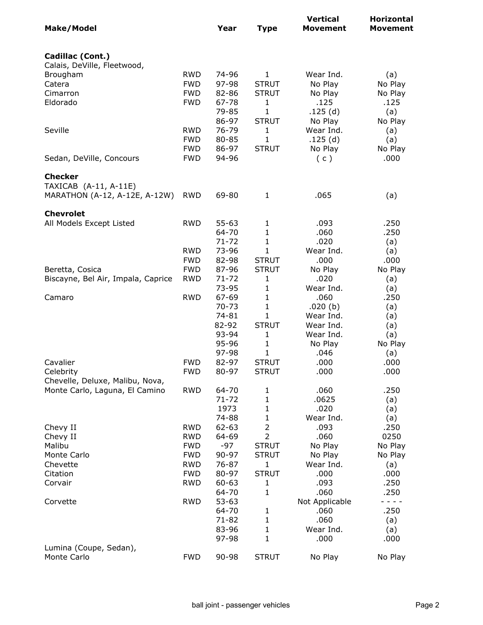| <b>Make/Model</b>                               |                          | Year               | <b>Type</b>                      | <b>Vertical</b><br><b>Movement</b> | <b>Horizontal</b><br><b>Movement</b> |
|-------------------------------------------------|--------------------------|--------------------|----------------------------------|------------------------------------|--------------------------------------|
| Cadillac (Cont.)<br>Calais, DeVille, Fleetwood, |                          |                    |                                  |                                    |                                      |
| Brougham                                        | <b>RWD</b>               | 74-96              | 1                                | Wear Ind.                          | (a)                                  |
| Catera                                          | <b>FWD</b>               | 97-98              | <b>STRUT</b>                     | No Play                            | No Play                              |
| Cimarron                                        | <b>FWD</b>               | 82-86              | <b>STRUT</b>                     | No Play                            | No Play                              |
| Eldorado                                        | <b>FWD</b>               | 67-78              | 1                                | .125                               | .125                                 |
|                                                 |                          | 79-85              | 1                                | .125 (d)                           | (a)                                  |
|                                                 |                          | 86-97              | <b>STRUT</b>                     | No Play                            | No Play                              |
| Seville                                         | <b>RWD</b>               | 76-79              | 1                                | Wear Ind.                          | (a)                                  |
|                                                 | <b>FWD</b>               | 80-85              | 1                                | .125(d)                            | (a)                                  |
|                                                 | <b>FWD</b>               | 86-97              | <b>STRUT</b>                     | No Play                            | No Play                              |
| Sedan, DeVille, Concours                        | <b>FWD</b>               | 94-96              |                                  | (c)                                | .000                                 |
| <b>Checker</b><br>TAXICAB (A-11, A-11E)         |                          |                    |                                  |                                    |                                      |
| MARATHON (A-12, A-12E, A-12W)                   | <b>RWD</b>               | 69-80              | 1                                | .065                               | (a)                                  |
| <b>Chevrolet</b>                                |                          |                    |                                  |                                    |                                      |
| All Models Except Listed                        | <b>RWD</b>               | $55 - 63$<br>64-70 | $\mathbf{1}$<br>$\mathbf{1}$     | .093<br>.060                       | .250<br>.250                         |
|                                                 |                          | $71 - 72$          | $\mathbf{1}$                     | .020                               | (a)                                  |
|                                                 | <b>RWD</b>               | 73-96              | 1                                | Wear Ind.                          | (a)                                  |
|                                                 | <b>FWD</b>               | 82-98              | <b>STRUT</b>                     | .000                               | .000                                 |
| Beretta, Cosica                                 | <b>FWD</b>               | 87-96              | <b>STRUT</b>                     | No Play                            | No Play                              |
| Biscayne, Bel Air, Impala, Caprice              | <b>RWD</b>               | $71 - 72$          | $\mathbf{1}$                     | .020                               | (a)                                  |
|                                                 |                          | 73-95              | 1                                | Wear Ind.                          | (a)                                  |
| Camaro                                          | <b>RWD</b>               | 67-69              | 1                                | .060                               | .250                                 |
|                                                 |                          | $70 - 73$          | 1                                | .020(b)                            | (a)                                  |
|                                                 |                          | 74-81              | 1                                | Wear Ind.                          | (a)                                  |
|                                                 |                          | 82-92              | <b>STRUT</b>                     | Wear Ind.                          | (a)                                  |
|                                                 |                          | 93-94<br>95-96     | 1<br>$\mathbf{1}$                | Wear Ind.<br>No Play               | (a)<br>No Play                       |
|                                                 |                          | 97-98              | 1                                | .046                               | (a)                                  |
| Cavalier                                        | <b>FWD</b>               | 82-97              | <b>STRUT</b>                     | .000                               | .000                                 |
| Celebrity                                       | FWD                      | 80-97              | STRUT                            | .000                               | .000                                 |
| Chevelle, Deluxe, Malibu, Nova,                 |                          |                    |                                  |                                    |                                      |
| Monte Carlo, Laguna, El Camino                  | <b>RWD</b>               | 64-70              | 1                                | .060                               | .250                                 |
|                                                 |                          | $71 - 72$          | $\mathbf{1}$                     | .0625                              | (a)                                  |
|                                                 |                          | 1973               | $\mathbf{1}$                     | .020                               | (a)                                  |
|                                                 |                          | 74-88              | $\mathbf{1}$                     | Wear Ind.                          | (a)                                  |
| Chevy II                                        | <b>RWD</b>               | $62 - 63$          | $\overline{2}$<br>$\overline{2}$ | .093                               | .250                                 |
| Chevy II<br>Malibu                              | <b>RWD</b><br><b>FWD</b> | 64-69<br>$-97$     | <b>STRUT</b>                     | .060<br>No Play                    | 0250<br>No Play                      |
| Monte Carlo                                     | <b>FWD</b>               | 90-97              | <b>STRUT</b>                     | No Play                            | No Play                              |
| Chevette                                        | <b>RWD</b>               | 76-87              | $\mathbf{1}$                     | Wear Ind.                          | (a)                                  |
| Citation                                        | <b>FWD</b>               | 80-97              | <b>STRUT</b>                     | .000                               | .000                                 |
| Corvair                                         | <b>RWD</b>               | $60 - 63$          | 1                                | .093                               | .250                                 |
|                                                 |                          | 64-70              | $\mathbf{1}$                     | .060                               | .250                                 |
| Corvette                                        | <b>RWD</b>               | $53 - 63$          |                                  | Not Applicable                     | - - - -                              |
|                                                 |                          | 64-70              | 1                                | .060                               | .250                                 |
|                                                 |                          | $71 - 82$          | $\mathbf{1}$                     | .060                               | (a)                                  |
|                                                 |                          | 83-96              | $\mathbf{1}$                     | Wear Ind.                          | (a)                                  |
| Lumina (Coupe, Sedan),                          |                          | 97-98              | $\mathbf{1}$                     | .000                               | .000                                 |
| Monte Carlo                                     | <b>FWD</b>               | 90-98              | <b>STRUT</b>                     | No Play                            | No Play                              |
|                                                 |                          |                    |                                  |                                    |                                      |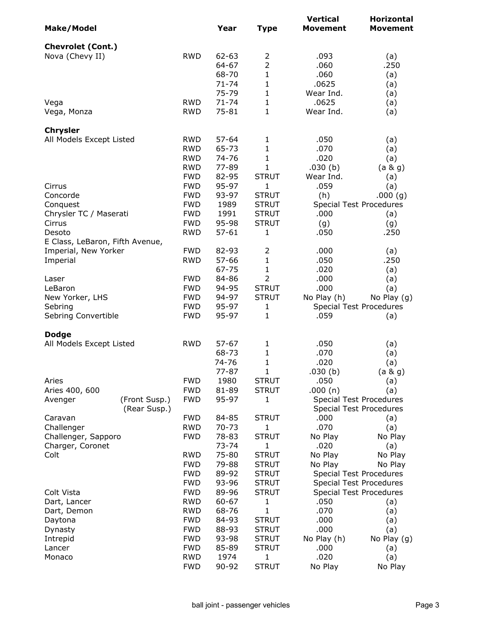| <b>Make/Model</b>                         |            | Year      | <b>Type</b>    | <b>Vertical</b><br><b>Movement</b>     | <b>Horizontal</b><br><b>Movement</b> |
|-------------------------------------------|------------|-----------|----------------|----------------------------------------|--------------------------------------|
| <b>Chevrolet (Cont.)</b>                  |            |           |                |                                        |                                      |
| Nova (Chevy II)                           | <b>RWD</b> | $62 - 63$ | 2              | .093                                   | (a)                                  |
|                                           |            | $64 - 67$ | $\overline{2}$ | .060                                   | .250                                 |
|                                           |            | 68-70     | 1              | .060                                   | (a)                                  |
|                                           |            | $71 - 74$ | 1              | .0625                                  | (a)                                  |
|                                           |            | 75-79     | $\mathbf 1$    | Wear Ind.                              | (a)                                  |
| Vega                                      | <b>RWD</b> | $71 - 74$ | $\mathbf 1$    | .0625                                  | (a)                                  |
| Vega, Monza                               | <b>RWD</b> | $75 - 81$ | 1              | Wear Ind.                              | (a)                                  |
| <b>Chrysler</b>                           |            |           |                |                                        |                                      |
| All Models Except Listed                  | <b>RWD</b> | $57 - 64$ | 1              | .050                                   | (a)                                  |
|                                           | <b>RWD</b> | 65-73     | 1              | .070                                   | (a)                                  |
|                                           | <b>RWD</b> | 74-76     | 1              | .020                                   | (a)                                  |
|                                           | <b>RWD</b> | 77-89     | 1              | .030(b)                                | (a & g)                              |
|                                           | <b>FWD</b> | 82-95     | <b>STRUT</b>   | Wear Ind.                              | (a)                                  |
| Cirrus                                    | <b>FWD</b> | 95-97     | 1              | .059                                   | (a)                                  |
| Concorde                                  | <b>FWD</b> | 93-97     | <b>STRUT</b>   | (h)                                    | .000(g)                              |
| Conquest                                  | <b>FWD</b> | 1989      | <b>STRUT</b>   | <b>Special Test Procedures</b>         |                                      |
| Chrysler TC / Maserati                    | <b>FWD</b> | 1991      | <b>STRUT</b>   | .000                                   | (a)                                  |
| Cirrus                                    | <b>FWD</b> | 95-98     | <b>STRUT</b>   | (g)                                    | (g)                                  |
|                                           |            |           |                |                                        |                                      |
| Desoto<br>E Class, LeBaron, Fifth Avenue, | <b>RWD</b> | $57 - 61$ | 1              | .050                                   | .250                                 |
| Imperial, New Yorker                      | <b>FWD</b> | 82-93     | 2              | .000                                   | (a)                                  |
| Imperial                                  | <b>RWD</b> | 57-66     | $\mathbf{1}$   | .050                                   | .250                                 |
|                                           |            | 67-75     | 1              | .020                                   | (a)                                  |
| Laser                                     | <b>FWD</b> | 84-86     | 2              | .000                                   | (a)                                  |
| LeBaron                                   | <b>FWD</b> | 94-95     | <b>STRUT</b>   | .000                                   | (a)                                  |
| New Yorker, LHS                           | <b>FWD</b> | 94-97     | <b>STRUT</b>   | No Play (h)                            | No Play $(g)$                        |
| Sebring                                   | <b>FWD</b> | 95-97     | 1              | <b>Special Test Procedures</b>         |                                      |
| Sebring Convertible                       | <b>FWD</b> | 95-97     | 1              | .059                                   | (a)                                  |
| <b>Dodge</b>                              |            |           |                |                                        |                                      |
| All Models Except Listed                  | <b>RWD</b> | $57 - 67$ | 1              | .050                                   | (a)                                  |
|                                           |            | 68-73     | 1              | .070                                   | (a)                                  |
|                                           |            | 74-76     | 1              | .020                                   | (a)                                  |
|                                           |            | $77 - 87$ | 1              | .030(b)                                | (a & g)                              |
| Aries                                     | <b>FWD</b> | 1980      | <b>STRUT</b>   | .050                                   | (a)                                  |
| Aries 400, 600                            | <b>FWD</b> | 81-89     | <b>STRUT</b>   | .000(n)                                | (a)                                  |
| (Front Susp.)<br>Avenger                  | <b>FWD</b> | 95-97     | 1              | <b>Special Test Procedures</b>         |                                      |
| (Rear Susp.)                              |            |           |                | <b>Special Test Procedures</b>         |                                      |
| Caravan                                   | <b>FWD</b> | 84-85     | <b>STRUT</b>   | .000                                   | (a)                                  |
| Challenger                                | <b>RWD</b> | 70-73     | 1              | .070                                   | (a)                                  |
| Challenger, Sapporo                       | <b>FWD</b> | 78-83     | <b>STRUT</b>   | No Play                                | No Play                              |
| Charger, Coronet                          |            | 73-74     | 1              | .020                                   | (a)                                  |
| Colt                                      | <b>RWD</b> | 75-80     | <b>STRUT</b>   | No Play                                | No Play                              |
|                                           | <b>FWD</b> | 79-88     | <b>STRUT</b>   | No Play                                | No Play                              |
|                                           | <b>FWD</b> | 89-92     | <b>STRUT</b>   | Special Test Procedures                |                                      |
|                                           | <b>FWD</b> |           |                |                                        |                                      |
|                                           | <b>FWD</b> | 93-96     | <b>STRUT</b>   | <b>Special Test Procedures</b>         |                                      |
| Colt Vista                                | <b>RWD</b> | 89-96     | <b>STRUT</b>   | <b>Special Test Procedures</b><br>.050 |                                      |
| Dart, Lancer                              |            | 60-67     | 1              |                                        | (a)                                  |
| Dart, Demon                               | <b>RWD</b> | 68-76     | 1              | .070                                   | (a)                                  |
| Daytona                                   | <b>FWD</b> | 84-93     | <b>STRUT</b>   | .000                                   | (a)                                  |
| Dynasty                                   | <b>FWD</b> | 88-93     | <b>STRUT</b>   | .000                                   | (a)                                  |
| Intrepid                                  | <b>FWD</b> | 93-98     | <b>STRUT</b>   | No Play (h)                            | No Play (g)                          |
| Lancer                                    | <b>FWD</b> | 85-89     | <b>STRUT</b>   | .000                                   | (a)                                  |
| Monaco                                    | <b>RWD</b> | 1974      | 1              | .020                                   | (a)                                  |
|                                           | <b>FWD</b> | 90-92     | <b>STRUT</b>   | No Play                                | No Play                              |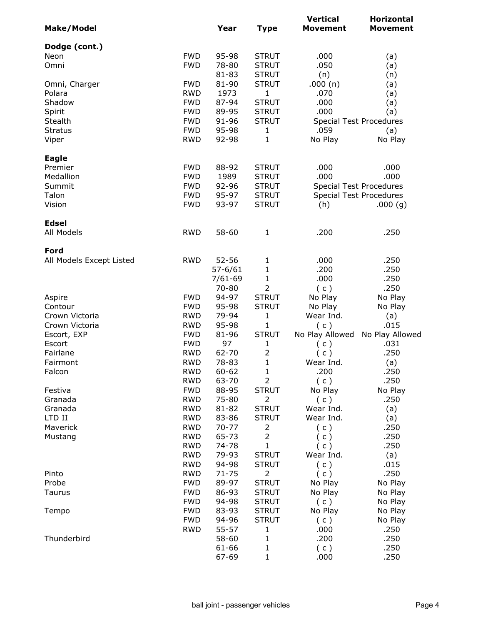| <b>Make/Model</b>        |                          | Year               | <b>Type</b>                    | <b>Vertical</b><br><b>Movement</b> | <b>Horizontal</b><br><b>Movement</b> |
|--------------------------|--------------------------|--------------------|--------------------------------|------------------------------------|--------------------------------------|
| Dodge (cont.)            |                          |                    |                                |                                    |                                      |
| Neon                     | <b>FWD</b>               | 95-98              | <b>STRUT</b>                   | .000                               | (a)                                  |
| Omni                     | <b>FWD</b>               | 78-80              | <b>STRUT</b>                   | .050                               | (a)                                  |
|                          |                          | 81-83              | <b>STRUT</b>                   | (n)                                | (n)                                  |
| Omni, Charger            | <b>FWD</b>               | 81-90              | <b>STRUT</b>                   | .000(n)                            | (a)                                  |
| Polara                   | <b>RWD</b>               | 1973               | 1                              | .070                               | (a)                                  |
| Shadow                   | <b>FWD</b>               | 87-94              | <b>STRUT</b>                   | .000                               | (a)                                  |
| Spirit                   | <b>FWD</b>               | 89-95              | <b>STRUT</b>                   | .000                               | (a)                                  |
| Stealth                  | <b>FWD</b>               | $91 - 96$          | <b>STRUT</b>                   | <b>Special Test Procedures</b>     |                                      |
| <b>Stratus</b>           | <b>FWD</b><br><b>RWD</b> | 95-98<br>92-98     | $\mathbf{1}$<br>1              | .059                               | (a)                                  |
| Viper                    |                          |                    |                                | No Play                            | No Play                              |
| <b>Eagle</b>             |                          |                    |                                |                                    |                                      |
| Premier                  | <b>FWD</b>               | 88-92              | <b>STRUT</b>                   | .000                               | .000                                 |
| Medallion                | <b>FWD</b>               | 1989               | <b>STRUT</b>                   | .000                               | .000                                 |
| Summit                   | <b>FWD</b>               | 92-96              | <b>STRUT</b>                   | <b>Special Test Procedures</b>     |                                      |
| Talon                    | <b>FWD</b>               | 95-97              | <b>STRUT</b>                   |                                    | <b>Special Test Procedures</b>       |
| Vision                   | <b>FWD</b>               | 93-97              | <b>STRUT</b>                   | (h)                                | .000(g)                              |
| <b>Edsel</b>             |                          |                    |                                |                                    |                                      |
| All Models               | <b>RWD</b>               | 58-60              | $\mathbf 1$                    | .200                               | .250                                 |
| Ford                     |                          |                    |                                |                                    |                                      |
| All Models Except Listed | <b>RWD</b>               | $52 - 56$          | $\mathbf{1}$                   | .000                               | .250                                 |
|                          |                          | $57 - 6/61$        | 1                              | .200                               | .250                                 |
|                          |                          | $7/61 - 69$        | 1                              | .000                               | .250                                 |
|                          |                          | 70-80              | $\overline{2}$                 | (c)                                | .250                                 |
| Aspire                   | <b>FWD</b>               | 94-97              | <b>STRUT</b>                   | No Play                            | No Play                              |
| Contour                  | <b>FWD</b>               | 95-98              | <b>STRUT</b>                   | No Play                            | No Play                              |
| Crown Victoria           | <b>RWD</b>               | 79-94              | $\mathbf{1}$                   | Wear Ind.                          | (a)                                  |
| Crown Victoria           | <b>RWD</b>               | 95-98              | $\mathbf{1}$<br><b>STRUT</b>   | (c)                                | .015                                 |
| Escort, EXP<br>Escort    | <b>FWD</b><br><b>FWD</b> | 81-96<br>97        | 1                              | No Play Allowed                    | No Play Allowed<br>.031              |
| Fairlane                 | <b>RWD</b>               | 62-70              | $\overline{2}$                 | (c)<br>(c)                         | .250                                 |
| Fairmont                 | <b>RWD</b>               | 78-83              | $\mathbf{1}$                   | Wear Ind.                          | (a)                                  |
| Falcon                   | <b>RWD</b>               | 60-62              | 1                              | .200                               | .250                                 |
|                          | <b>RWD</b>               | 63-70              | $\overline{2}$                 | (c)                                | .250                                 |
| Festiva                  | <b>FWD</b>               | 88-95              | <b>STRUT</b>                   | No Play                            | No Play                              |
| Granada                  | <b>RWD</b>               | 75-80              | $\overline{2}$                 | (c)                                | .250                                 |
| Granada                  | <b>RWD</b>               | 81-82              | <b>STRUT</b>                   | Wear Ind.                          | (a)                                  |
| LTD II                   | <b>RWD</b>               | 83-86              | <b>STRUT</b>                   | Wear Ind.                          | (a)                                  |
| Maverick                 | <b>RWD</b>               | $70 - 77$          | 2                              | (c)                                | .250                                 |
| Mustang                  | <b>RWD</b>               | 65-73              | $\overline{2}$                 | (c)                                | .250                                 |
|                          | <b>RWD</b>               | 74-78              | $\mathbf 1$                    | (c)                                | .250                                 |
|                          | <b>RWD</b>               | 79-93              | <b>STRUT</b>                   | Wear Ind.                          | (a)                                  |
| Pinto                    | <b>RWD</b><br><b>RWD</b> | 94-98<br>$71 - 75$ | <b>STRUT</b><br>$\overline{2}$ | (c)<br>(c)                         | .015<br>.250                         |
| Probe                    | <b>FWD</b>               | 89-97              | <b>STRUT</b>                   | No Play                            | No Play                              |
| Taurus                   | <b>FWD</b>               | 86-93              | <b>STRUT</b>                   | No Play                            | No Play                              |
|                          | <b>FWD</b>               | 94-98              | <b>STRUT</b>                   | (c)                                | No Play                              |
| Tempo                    | <b>FWD</b>               | 83-93              | <b>STRUT</b>                   | No Play                            | No Play                              |
|                          | <b>FWD</b>               | 94-96              | <b>STRUT</b>                   | (c)                                | No Play                              |
|                          | <b>RWD</b>               | $55 - 57$          | 1                              | .000                               | .250                                 |
| Thunderbird              |                          | 58-60              | 1                              | .200                               | .250                                 |
|                          |                          | 61-66              | 1                              | (c)                                | .250                                 |
|                          |                          | 67-69              | 1                              | .000                               | .250                                 |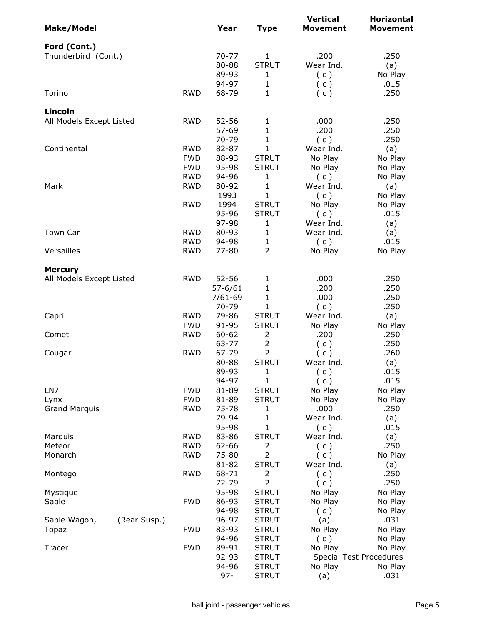| <b>Make/Model</b>            |                          | Year                     | <b>Type</b>                      | <b>Vertical</b><br><b>Movement</b> | Horizontal<br><b>Movement</b>  |
|------------------------------|--------------------------|--------------------------|----------------------------------|------------------------------------|--------------------------------|
| Ford (Cont.)                 |                          |                          |                                  |                                    |                                |
| Thunderbird (Cont.)          |                          | $70 - 77$                | 1                                | .200                               | .250                           |
|                              |                          | 80-88                    | <b>STRUT</b>                     | Wear Ind.                          | (a)                            |
|                              |                          | 89-93                    | 1                                | (c)                                | No Play                        |
| Torino                       | <b>RWD</b>               | 94-97<br>68-79           | 1<br>1                           | (c)<br>(c)                         | .015<br>.250                   |
| Lincoln                      |                          |                          |                                  |                                    |                                |
| All Models Except Listed     | <b>RWD</b>               | $52 - 56$                | 1                                | .000                               | .250                           |
|                              |                          | 57-69                    | $\mathbf{1}$                     | .200                               | .250                           |
|                              |                          | 70-79                    | 1                                | (c)                                | .250                           |
| Continental                  | <b>RWD</b>               | 82-87                    | 1                                | Wear Ind.                          | (a)                            |
|                              | <b>FWD</b>               | 88-93                    | <b>STRUT</b>                     | No Play                            | No Play                        |
|                              | <b>FWD</b>               | 95-98                    | <b>STRUT</b>                     | No Play                            | No Play                        |
| Mark                         | <b>RWD</b>               | 94-96                    | 1                                | (c)                                | No Play                        |
|                              | <b>RWD</b>               | 80-92<br>1993            | 1<br>$\mathbf{1}$                | Wear Ind.<br>(c)                   | (a)<br>No Play                 |
|                              | <b>RWD</b>               | 1994                     | <b>STRUT</b>                     | No Play                            | No Play                        |
|                              |                          | 95-96                    | <b>STRUT</b>                     | (c)                                | .015                           |
|                              |                          | 97-98                    | 1                                | Wear Ind.                          | (a)                            |
| Town Car                     | <b>RWD</b>               | 80-93                    | 1                                | Wear Ind.                          | (a)                            |
|                              | <b>RWD</b>               | 94-98                    | 1                                | (c)                                | .015                           |
| Versailles                   | <b>RWD</b>               | 77-80                    | 2                                | No Play                            | No Play                        |
| <b>Mercury</b>               |                          |                          |                                  |                                    |                                |
| All Models Except Listed     | <b>RWD</b>               | $52 - 56$                | 1                                | .000                               | .250                           |
|                              |                          | $57 - 6/61$              | 1                                | .200                               | .250                           |
|                              |                          | $7/61 - 69$<br>$70 - 79$ | 1<br>1                           | .000<br>(c)                        | .250<br>.250                   |
| Capri                        | <b>RWD</b>               | 79-86                    | <b>STRUT</b>                     | Wear Ind.                          | (a)                            |
|                              | <b>FWD</b>               | 91-95                    | <b>STRUT</b>                     | No Play                            | No Play                        |
| Comet                        | <b>RWD</b>               | $60 - 62$                | 2                                | .200                               | .250                           |
|                              |                          | 63-77                    | $\overline{2}$                   | (c)                                | .250                           |
| Cougar                       | <b>RWD</b>               | 67-79                    | $\overline{2}$                   | (c)                                | .260                           |
|                              |                          | 80-88                    | <b>STRUT</b>                     | Wear Ind.                          | (a)                            |
|                              |                          | 89-93                    | 1                                | (c)                                | .015                           |
|                              |                          | 94-97                    | 1                                | (c)                                | .015                           |
| LN7<br>Lynx                  | <b>FWD</b><br><b>FWD</b> | 81-89<br>81-89           | <b>STRUT</b><br><b>STRUT</b>     | No Play<br>No Play                 | No Play<br>No Play             |
| <b>Grand Marquis</b>         | <b>RWD</b>               | 75-78                    | 1                                | .000                               | .250                           |
|                              |                          | 79-94                    | 1                                | Wear Ind.                          | (a)                            |
|                              |                          | 95-98                    | 1                                | (c)                                | .015                           |
| Marquis                      | <b>RWD</b>               | 83-86                    | <b>STRUT</b>                     | Wear Ind.                          | (a)                            |
| Meteor                       | <b>RWD</b>               | 62-66                    | 2                                | (c)                                | .250                           |
| Monarch                      | <b>RWD</b>               | 75-80                    | $\overline{2}$                   | (c)                                | No Play                        |
|                              |                          | $81 - 82$                | <b>STRUT</b>                     | Wear Ind.                          | (a)                            |
| Montego                      | <b>RWD</b>               | 68-71<br>72-79           | $\overline{2}$<br>$\overline{2}$ | (c)<br>(c)                         | .250<br>.250                   |
| Mystique                     |                          | 95-98                    | <b>STRUT</b>                     | No Play                            | No Play                        |
| Sable                        | <b>FWD</b>               | 86-93                    | <b>STRUT</b>                     | No Play                            | No Play                        |
|                              |                          | 94-98                    | <b>STRUT</b>                     | (c)                                | No Play                        |
| (Rear Susp.)<br>Sable Wagon, |                          | 96-97                    | <b>STRUT</b>                     | (a)                                | .031                           |
| Topaz                        | <b>FWD</b>               | 83-93                    | <b>STRUT</b>                     | No Play                            | No Play                        |
|                              |                          | 94-96                    | <b>STRUT</b>                     | (c)                                | No Play                        |
| Tracer                       | <b>FWD</b>               | 89-91                    | <b>STRUT</b>                     | No Play                            | No Play                        |
|                              |                          | 92-93<br>94-96           | <b>STRUT</b>                     |                                    | <b>Special Test Procedures</b> |
|                              |                          | $97 -$                   | <b>STRUT</b><br><b>STRUT</b>     | No Play<br>(a)                     | No Play<br>.031                |
|                              |                          |                          |                                  |                                    |                                |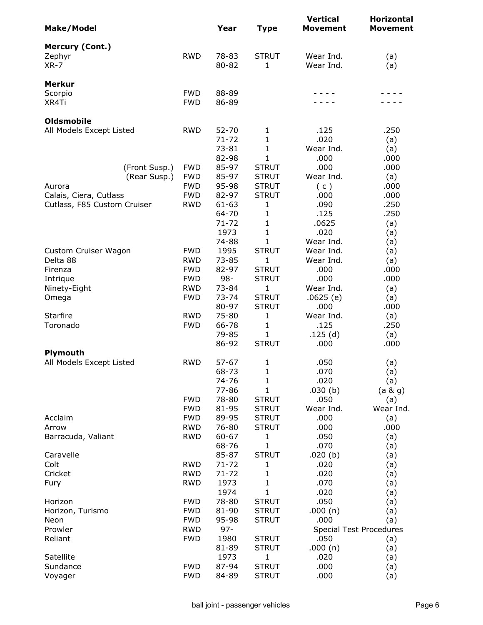| <b>Make/Model</b>                            |            | Year               | <b>Type</b>       | <b>Vertical</b><br><b>Movement</b> | <b>Horizontal</b><br><b>Movement</b> |
|----------------------------------------------|------------|--------------------|-------------------|------------------------------------|--------------------------------------|
| <b>Mercury (Cont.)</b><br>Zephyr<br>$XR - 7$ | <b>RWD</b> | 78-83<br>80-82     | <b>STRUT</b><br>1 | Wear Ind.<br>Wear Ind.             | (a)<br>(a)                           |
|                                              |            |                    |                   |                                    |                                      |
| <b>Merkur</b>                                |            |                    |                   |                                    |                                      |
| Scorpio                                      | <b>FWD</b> | 88-89              |                   |                                    |                                      |
| XR4Ti                                        | <b>FWD</b> | 86-89              |                   |                                    |                                      |
| <b>Oldsmobile</b>                            |            |                    |                   |                                    |                                      |
| All Models Except Listed                     | <b>RWD</b> | $52 - 70$          | 1                 | .125                               | .250                                 |
|                                              |            | $71 - 72$          | 1                 | .020                               | (a)                                  |
|                                              |            | $73 - 81$          | 1                 | Wear Ind.                          | (a)                                  |
|                                              |            | 82-98              | $\mathbf{1}$      | .000                               | .000                                 |
| (Front Susp.)                                | <b>FWD</b> | 85-97              | <b>STRUT</b>      | .000                               | .000                                 |
| (Rear Susp.)                                 | <b>FWD</b> | 85-97              | <b>STRUT</b>      | Wear Ind.                          | (a)                                  |
| Aurora                                       | <b>FWD</b> | 95-98              | <b>STRUT</b>      | (c)                                | .000                                 |
| Calais, Ciera, Cutlass                       | <b>FWD</b> | 82-97              | <b>STRUT</b>      | .000                               | .000                                 |
| Cutlass, F85 Custom Cruiser                  | <b>RWD</b> | $61 - 63$          | 1                 | .090                               | .250                                 |
|                                              |            | 64-70<br>$71 - 72$ | 1<br>1            | .125<br>.0625                      | .250                                 |
|                                              |            | 1973               | 1                 | .020                               | (a)                                  |
|                                              |            | 74-88              | 1                 | Wear Ind.                          | (a)<br>(a)                           |
| Custom Cruiser Wagon                         | <b>FWD</b> | 1995               | <b>STRUT</b>      | Wear Ind.                          | (a)                                  |
| Delta 88                                     | <b>RWD</b> | $73 - 85$          | 1                 | Wear Ind.                          | (a)                                  |
| Firenza                                      | <b>FWD</b> | 82-97              | <b>STRUT</b>      | .000                               | .000                                 |
| Intrique                                     | <b>FWD</b> | $98 -$             | <b>STRUT</b>      | .000                               | .000                                 |
| Ninety-Eight                                 | <b>RWD</b> | 73-84              | 1                 | Wear Ind.                          | (a)                                  |
| Omega                                        | <b>FWD</b> | $73 - 74$          | <b>STRUT</b>      | .0625(e)                           | (a)                                  |
|                                              |            | 80-97              | <b>STRUT</b>      | .000                               | .000                                 |
| <b>Starfire</b>                              | <b>RWD</b> | 75-80              | 1                 | Wear Ind.                          | (a)                                  |
| Toronado                                     | <b>FWD</b> | 66-78              | 1                 | .125                               | .250                                 |
|                                              |            | 79-85              | 1                 | .125(d)                            | (a)                                  |
| Plymouth                                     |            | 86-92              | <b>STRUT</b>      | .000                               | .000                                 |
| All Models Except Listed                     | <b>RWD</b> | 57-67              | 1                 | .050                               | (a)                                  |
|                                              |            | 68-73              | $\mathbf 1$       | .070                               | (a)                                  |
|                                              |            | 74-76              | 1                 | .020                               | (a)                                  |
|                                              |            | 77-86              | $\mathbf{1}$      | .030(b)                            | (a & g)                              |
|                                              | <b>FWD</b> | 78-80              | <b>STRUT</b>      | .050                               | (a)                                  |
|                                              | <b>FWD</b> | 81-95              | <b>STRUT</b>      | Wear Ind.                          | Wear Ind.                            |
| Acclaim                                      | <b>FWD</b> | 89-95              | <b>STRUT</b>      | .000                               | (a)                                  |
| Arrow                                        | <b>RWD</b> | 76-80              | <b>STRUT</b>      | .000                               | .000                                 |
| Barracuda, Valiant                           | <b>RWD</b> | 60-67              | 1                 | .050                               | (a)                                  |
|                                              |            | 68-76              | 1                 | .070                               | (a)                                  |
| Caravelle<br>Colt                            | <b>RWD</b> | 85-87<br>$71 - 72$ | <b>STRUT</b>      | .020(b)<br>.020                    | (a)                                  |
| Cricket                                      | <b>RWD</b> | $71 - 72$          | 1<br>1            | .020                               | (a)<br>(a)                           |
| Fury                                         | <b>RWD</b> | 1973               | 1                 | .070                               | (a)                                  |
|                                              |            | 1974               | 1                 | .020                               | (a)                                  |
| Horizon                                      | <b>FWD</b> | 78-80              | <b>STRUT</b>      | .050                               | (a)                                  |
| Horizon, Turismo                             | <b>FWD</b> | 81-90              | <b>STRUT</b>      | .000(n)                            | (a)                                  |
| Neon                                         | <b>FWD</b> | 95-98              | <b>STRUT</b>      | .000                               | (a)                                  |
| Prowler                                      | <b>RWD</b> | $97 -$             |                   | <b>Special Test Procedures</b>     |                                      |
| Reliant                                      | <b>FWD</b> | 1980               | <b>STRUT</b>      | .050                               | (a)                                  |
|                                              |            | 81-89              | <b>STRUT</b>      | .000(n)                            | (a)                                  |
| Satellite                                    |            | 1973               | 1                 | .020                               | (a)                                  |
| Sundance                                     | <b>FWD</b> | 87-94              | <b>STRUT</b>      | .000                               | (a)                                  |
| Voyager                                      | <b>FWD</b> | 84-89              | <b>STRUT</b>      | .000                               | (a)                                  |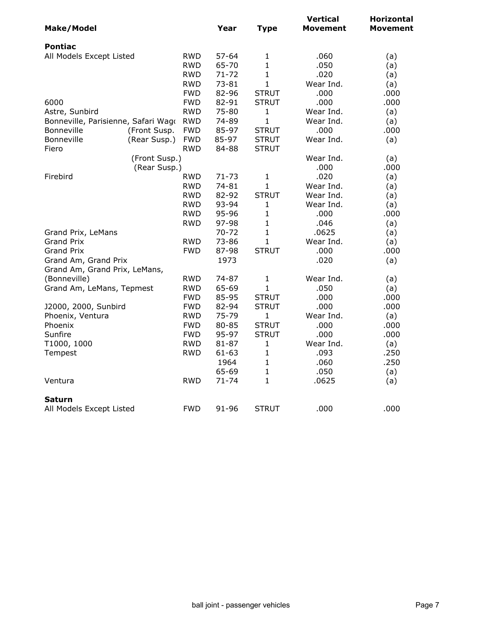|                                     |            |           |              | <b>Vertical</b> | Horizontal |
|-------------------------------------|------------|-----------|--------------|-----------------|------------|
| <b>Make/Model</b>                   |            | Year      | <b>Type</b>  | Movement        | Movement   |
| <b>Pontiac</b>                      |            |           |              |                 |            |
| All Models Except Listed            | <b>RWD</b> | $57 - 64$ | $\mathbf{1}$ | .060            | (a)        |
|                                     | <b>RWD</b> | 65-70     | $\mathbf{1}$ | .050            | (a)        |
|                                     | <b>RWD</b> | $71 - 72$ | $\mathbf{1}$ | .020            | (a)        |
|                                     | <b>RWD</b> | $73 - 81$ | $\mathbf{1}$ | Wear Ind.       | (a)        |
|                                     | <b>FWD</b> | 82-96     | <b>STRUT</b> | .000            | .000       |
| 6000                                | <b>FWD</b> | 82-91     | <b>STRUT</b> | .000            | .000       |
| Astre, Sunbird                      | <b>RWD</b> | 75-80     | 1            | Wear Ind.       | (a)        |
| Bonneville, Parisienne, Safari Wago | <b>RWD</b> | 74-89     | $\mathbf{1}$ | Wear Ind.       | (a)        |
| Bonneville<br>(Front Susp.          | <b>FWD</b> | 85-97     | <b>STRUT</b> | .000            | .000       |
| Bonneville<br>(Rear Susp.)          | <b>FWD</b> | 85-97     | <b>STRUT</b> | Wear Ind.       | (a)        |
| Fiero                               | <b>RWD</b> | 84-88     | <b>STRUT</b> |                 |            |
| (Front Susp.)                       |            |           |              | Wear Ind.       | (a)        |
| (Rear Susp.)                        |            |           |              | .000            | .000       |
| Firebird                            | <b>RWD</b> | $71 - 73$ | $\mathbf 1$  | .020            | (a)        |
|                                     | <b>RWD</b> | 74-81     | $\mathbf{1}$ | Wear Ind.       | (a)        |
|                                     | RWD        | 82-92     | <b>STRUT</b> | Wear Ind.       | (a)        |
|                                     | RWD        | 93-94     | $\mathbf{1}$ | Wear Ind.       | (a)        |
|                                     | RWD        | 95-96     | $\mathbf{1}$ | .000            | .000       |
|                                     | <b>RWD</b> | 97-98     | $\mathbf{1}$ | .046            | (a)        |
| Grand Prix, LeMans                  |            | $70 - 72$ | $\mathbf{1}$ | .0625           | (a)        |
| <b>Grand Prix</b>                   | RWD        | 73-86     | $\mathbf{1}$ | Wear Ind.       | (a)        |
| <b>Grand Prix</b>                   | <b>FWD</b> | 87-98     | <b>STRUT</b> | .000            | .000       |
| Grand Am, Grand Prix                |            | 1973      |              | .020            | (a)        |
| Grand Am, Grand Prix, LeMans,       |            |           |              |                 |            |
| (Bonneville)                        | <b>RWD</b> | 74-87     | $\mathbf{1}$ | Wear Ind.       | (a)        |
| Grand Am, LeMans, Tepmest           | <b>RWD</b> | 65-69     | $\mathbf{1}$ | .050            | (a)        |
|                                     | <b>FWD</b> | 85-95     | <b>STRUT</b> | .000            | .000       |
| J2000, 2000, Sunbird                | <b>FWD</b> | 82-94     | <b>STRUT</b> | .000            | .000       |
| Phoenix, Ventura                    | <b>RWD</b> | 75-79     | 1            | Wear Ind.       | (a)        |
| Phoenix                             | <b>FWD</b> | 80-85     | <b>STRUT</b> | .000            | .000       |
| Sunfire                             | <b>FWD</b> | 95-97     | <b>STRUT</b> | .000            | .000       |
| T1000, 1000                         | <b>RWD</b> | 81-87     | $\mathbf{1}$ | Wear Ind.       | (a)        |
| Tempest                             | <b>RWD</b> | $61 - 63$ | $\mathbf{1}$ | .093            | .250       |
|                                     |            | 1964      | $\mathbf{1}$ | .060            | .250       |
|                                     |            | 65-69     | $\mathbf{1}$ | .050            | (a)        |
| Ventura                             | <b>RWD</b> | $71 - 74$ | $\mathbf{1}$ | .0625           | (a)        |
| <b>Saturn</b>                       |            |           |              |                 |            |
| All Models Except Listed            | <b>FWD</b> | 91-96     | <b>STRUT</b> | .000            | .000       |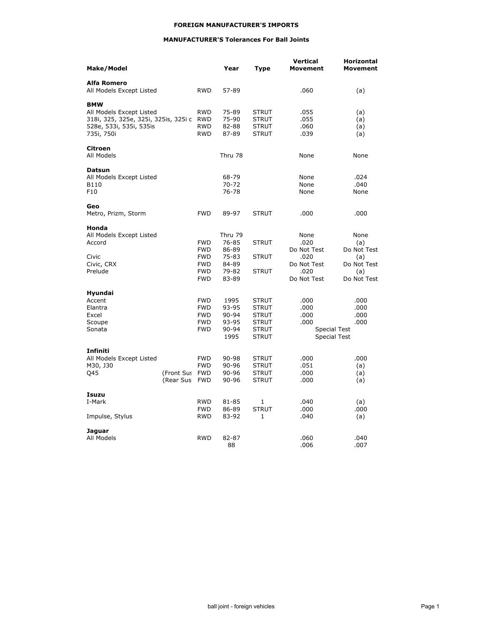### **FOREIGN MANUFACTURER'S IMPORTS**

### **MANUFACTURER'S Tolerances For Ball Joints**

| Make/Model                                                                                                              |                         |                                                                    | Year                                             | Type                                                                                         | <b>Vertical</b><br><b>Movement</b>                        | <b>Horizontal</b><br>Movement                                              |
|-------------------------------------------------------------------------------------------------------------------------|-------------------------|--------------------------------------------------------------------|--------------------------------------------------|----------------------------------------------------------------------------------------------|-----------------------------------------------------------|----------------------------------------------------------------------------|
| <b>Alfa Romero</b><br>All Models Except Listed                                                                          |                         | <b>RWD</b>                                                         | 57-89                                            |                                                                                              | .060                                                      | (a)                                                                        |
| <b>BMW</b><br>All Models Except Listed<br>318i, 325, 325e, 325i, 325is, 325i c<br>528e, 533i, 535i, 535is<br>735i, 750i |                         | <b>RWD</b><br><b>RWD</b><br><b>RWD</b><br><b>RWD</b>               | 75-89<br>75-90<br>82-88<br>87-89                 | <b>STRUT</b><br><b>STRUT</b><br><b>STRUT</b><br><b>STRUT</b>                                 | .055<br>.055<br>.060<br>.039                              | (a)<br>(a)<br>(a)<br>(a)                                                   |
| <b>Citroen</b><br>All Models                                                                                            |                         |                                                                    | Thru 78                                          |                                                                                              | None                                                      | None                                                                       |
| Datsun<br>All Models Except Listed<br>B110<br>F10                                                                       |                         |                                                                    | 68-79<br>70-72<br>76-78                          |                                                                                              | None<br>None<br>None                                      | .024<br>.040<br>None                                                       |
| Geo<br>Metro, Prizm, Storm                                                                                              |                         | <b>FWD</b>                                                         | 89-97                                            | <b>STRUT</b>                                                                                 | .000                                                      | .000                                                                       |
| Honda<br>All Models Except Listed<br>Accord                                                                             |                         | <b>FWD</b>                                                         | Thru 79<br>76-85                                 | <b>STRUT</b>                                                                                 | None<br>.020                                              | None<br>(a)                                                                |
| Civic<br>Civic, CRX<br>Prelude                                                                                          |                         | <b>FWD</b><br><b>FWD</b><br><b>FWD</b><br><b>FWD</b><br><b>FWD</b> | 86-89<br>75-83<br>84-89<br>79-82<br>83-89        | <b>STRUT</b><br><b>STRUT</b>                                                                 | Do Not Test<br>.020<br>Do Not Test<br>.020<br>Do Not Test | Do Not Test<br>(a)<br>Do Not Test<br>(a)<br>Do Not Test                    |
| Hyundai<br>Accent<br>Elantra<br>Excel<br>Scoupe<br>Sonata                                                               |                         | <b>FWD</b><br><b>FWD</b><br><b>FWD</b><br><b>FWD</b><br><b>FWD</b> | 1995<br>93-95<br>90-94<br>93-95<br>90-94<br>1995 | <b>STRUT</b><br><b>STRUT</b><br><b>STRUT</b><br><b>STRUT</b><br><b>STRUT</b><br><b>STRUT</b> | .000<br>.000<br>.000<br>.000                              | .000<br>.000<br>.000<br>.000<br><b>Special Test</b><br><b>Special Test</b> |
| Infiniti<br>All Models Except Listed<br>M30, J30<br>Q45                                                                 | (Front Sus<br>(Rear Sus | <b>FWD</b><br><b>FWD</b><br><b>FWD</b><br><b>FWD</b>               | 90-98<br>90-96<br>90-96<br>90-96                 | <b>STRUT</b><br><b>STRUT</b><br><b>STRUT</b><br><b>STRUT</b>                                 | .000<br>.051<br>.000<br>.000                              | .000<br>(a)<br>(a)<br>(a)                                                  |
| Isuzu<br>I-Mark<br>Impulse, Stylus                                                                                      |                         | <b>RWD</b><br><b>FWD</b><br><b>RWD</b>                             | 81-85<br>86-89<br>83-92                          | 1<br><b>STRUT</b><br>1                                                                       | .040<br>.000<br>.040                                      | (a)<br>.000<br>(a)                                                         |
| Jaguar<br>All Models                                                                                                    |                         | <b>RWD</b>                                                         | 82-87<br>88                                      |                                                                                              | .060<br>.006                                              | .040<br>.007                                                               |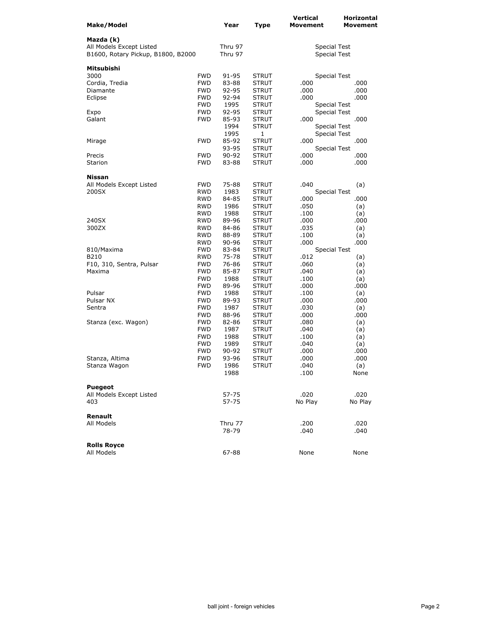| Make/Model                                                                  |                          | Year               | Type                         | <b>Vertical</b><br>Movement | Horizontal<br>Movement                     |
|-----------------------------------------------------------------------------|--------------------------|--------------------|------------------------------|-----------------------------|--------------------------------------------|
| Mazda (k)<br>All Models Except Listed<br>B1600, Rotary Pickup, B1800, B2000 |                          | Thru 97<br>Thru 97 |                              |                             | <b>Special Test</b><br><b>Special Test</b> |
|                                                                             |                          |                    |                              |                             |                                            |
| Mitsubishi                                                                  |                          |                    |                              |                             |                                            |
| 3000                                                                        | <b>FWD</b>               | 91-95              | <b>STRUT</b>                 |                             | <b>Special Test</b>                        |
| Cordia, Tredia                                                              | <b>FWD</b>               | 83-88              | <b>STRUT</b>                 | .000                        | .000                                       |
| Diamante                                                                    | <b>FWD</b>               | 92-95              | <b>STRUT</b>                 | .000                        | .000                                       |
| Eclipse                                                                     | <b>FWD</b>               | 92-94              | <b>STRUT</b>                 | .000                        | .000                                       |
|                                                                             | <b>FWD</b><br><b>FWD</b> | 1995               | <b>STRUT</b>                 |                             | <b>Special Test</b>                        |
| Expo<br>Galant                                                              | <b>FWD</b>               | 92-95<br>85-93     | <b>STRUT</b><br><b>STRUT</b> | .000                        | <b>Special Test</b><br>.000                |
|                                                                             |                          | 1994               | <b>STRUT</b>                 |                             | <b>Special Test</b>                        |
|                                                                             |                          | 1995               | 1                            |                             | <b>Special Test</b>                        |
| Mirage                                                                      | <b>FWD</b>               | 85-92              | <b>STRUT</b>                 | .000                        | .000                                       |
|                                                                             |                          | 93-95              | <b>STRUT</b>                 |                             | <b>Special Test</b>                        |
| Precis                                                                      | <b>FWD</b>               | 90-92              | <b>STRUT</b>                 | .000                        | .000                                       |
| Starion                                                                     | <b>FWD</b>               | 83-88              | <b>STRUT</b>                 | .000                        | .000                                       |
|                                                                             |                          |                    |                              |                             |                                            |
| <b>Nissan</b>                                                               |                          |                    |                              |                             |                                            |
| All Models Except Listed<br>200SX                                           | <b>FWD</b><br>RWD        | 75-88<br>1983      | <b>STRUT</b><br><b>STRUT</b> | .040                        | (a)<br><b>Special Test</b>                 |
|                                                                             | RWD                      | 84-85              | <b>STRUT</b>                 | .000                        | .000                                       |
|                                                                             | RWD                      | 1986               | <b>STRUT</b>                 | .050                        | (a)                                        |
|                                                                             | RWD                      | 1988               | <b>STRUT</b>                 | .100                        | (a)                                        |
| 240SX                                                                       | RWD                      | 89-96              | <b>STRUT</b>                 | .000                        | .000                                       |
| 300ZX                                                                       | <b>RWD</b>               | 84-86              | <b>STRUT</b>                 | .035                        | (a)                                        |
|                                                                             | RWD                      | 88-89              | <b>STRUT</b>                 | .100                        | (a)                                        |
|                                                                             | <b>RWD</b>               | 90-96              | <b>STRUT</b>                 | .000                        | .000                                       |
| 810/Maxima                                                                  | <b>FWD</b>               | 83-84              | <b>STRUT</b>                 | <b>Special Test</b>         |                                            |
| B210                                                                        | RWD                      | 75-78              | <b>STRUT</b>                 | .012                        | (a)                                        |
| F10, 310, Sentra, Pulsar                                                    | <b>FWD</b>               | 76-86              | <b>STRUT</b>                 | .060                        | (a)                                        |
| Maxima                                                                      | <b>FWD</b>               | 85-87              | <b>STRUT</b>                 | .040                        | (a)                                        |
|                                                                             | <b>FWD</b><br><b>FWD</b> | 1988               | <b>STRUT</b>                 | .100                        | (a)                                        |
| Pulsar                                                                      | <b>FWD</b>               | 89-96<br>1988      | <b>STRUT</b><br><b>STRUT</b> | .000<br>.100                | .000<br>(a)                                |
| Pulsar NX                                                                   | <b>FWD</b>               | 89-93              | <b>STRUT</b>                 | .000                        | .000                                       |
| Sentra                                                                      | <b>FWD</b>               | 1987               | <b>STRUT</b>                 | .030                        | (a)                                        |
|                                                                             | <b>FWD</b>               | 88-96              | <b>STRUT</b>                 | .000                        | .000                                       |
| Stanza (exc. Wagon)                                                         | <b>FWD</b>               | 82-86              | <b>STRUT</b>                 | .080                        | (a)                                        |
|                                                                             | <b>FWD</b>               | 1987               | <b>STRUT</b>                 | .040                        | (a)                                        |
|                                                                             | <b>FWD</b>               | 1988               | <b>STRUT</b>                 | .100                        | (a)                                        |
|                                                                             | <b>FWD</b>               | 1989               | <b>STRUT</b>                 | .040                        | (a)                                        |
|                                                                             | <b>FWD</b>               | 90-92              | <b>STRUT</b>                 | .000                        | .000                                       |
| Stanza, Altima                                                              | <b>FWD</b>               | 93-96              | <b>STRUT</b>                 | .000                        | .000                                       |
| Stanza Wagon                                                                | <b>FWD</b>               | 1986               | STRUT                        | .040                        | (a)                                        |
|                                                                             |                          | 1988               |                              | .100                        | None                                       |
| <b>Puegeot</b>                                                              |                          |                    |                              |                             |                                            |
| All Models Except Listed                                                    |                          | 57-75              |                              | .020                        | .020                                       |
| 403                                                                         |                          | 57-75              |                              | No Play                     | No Play                                    |
|                                                                             |                          |                    |                              |                             |                                            |
| Renault                                                                     |                          |                    |                              |                             |                                            |
| All Models                                                                  |                          | Thru 77            |                              | .200                        | .020                                       |
|                                                                             |                          | 78-79              |                              | .040                        | .040                                       |
| <b>Rolls Royce</b>                                                          |                          |                    |                              |                             |                                            |
| All Models                                                                  |                          | 67-88              |                              | None                        | None                                       |
|                                                                             |                          |                    |                              |                             |                                            |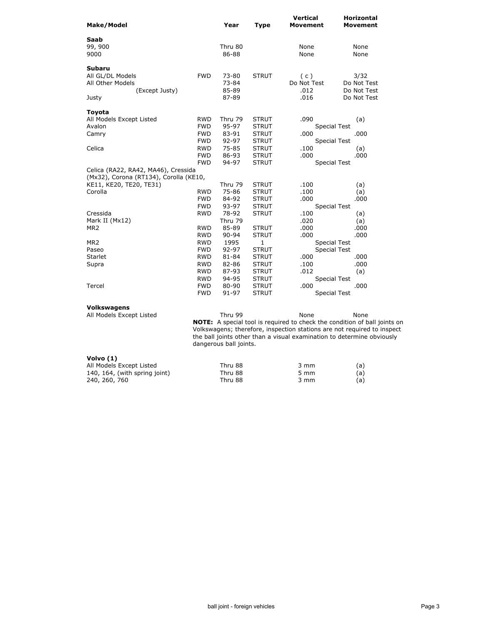| Make/Model                                                                                                          |                                                                                                | Year                                                          | <b>Type</b>                                                                                                  | Vertical<br><b>Movement</b>                                                                       | <b>Horizontal</b><br><b>Movement</b>              |
|---------------------------------------------------------------------------------------------------------------------|------------------------------------------------------------------------------------------------|---------------------------------------------------------------|--------------------------------------------------------------------------------------------------------------|---------------------------------------------------------------------------------------------------|---------------------------------------------------|
| <b>Saab</b><br>99, 900<br>9000                                                                                      |                                                                                                | Thru 80<br>86-88                                              |                                                                                                              | None<br>None                                                                                      | None<br>None                                      |
| <b>Subaru</b><br>All GL/DL Models<br>All Other Models<br>(Except Justy)<br>Justy                                    | <b>FWD</b>                                                                                     | 73-80<br>73-84<br>85-89<br>87-89                              | <b>STRUT</b>                                                                                                 | (c)<br>Do Not Test<br>.012<br>.016                                                                | 3/32<br>Do Not Test<br>Do Not Test<br>Do Not Test |
| <b>Toyota</b><br>All Models Except Listed<br>Avalon<br>Camry<br>Celica                                              | <b>RWD</b><br><b>FWD</b><br><b>FWD</b><br><b>FWD</b><br><b>RWD</b><br><b>FWD</b><br><b>FWD</b> | Thru 79<br>95-97<br>83-91<br>92-97<br>75-85<br>86-93<br>94-97 | <b>STRUT</b><br><b>STRUT</b><br><b>STRUT</b><br><b>STRUT</b><br><b>STRUT</b><br><b>STRUT</b><br><b>STRUT</b> | .090<br><b>Special Test</b><br>.000<br><b>Special Test</b><br>.100<br>.000<br><b>Special Test</b> | (a)<br>.000<br>(a)<br>.000                        |
| Celica (RA22, RA42, MA46), Cressida<br>(Mx32), Corona (RT134), Corolla (KE10,<br>KE11, KE20, TE20, TE31)<br>Corolla | <b>RWD</b><br><b>FWD</b><br><b>FWD</b>                                                         | Thru 79<br>75-86<br>84-92<br>93-97                            | <b>STRUT</b><br><b>STRUT</b><br><b>STRUT</b><br><b>STRUT</b>                                                 | .100<br>.100<br>.000<br><b>Special Test</b>                                                       | (a)<br>(a)<br>.000                                |
| Cressida<br>Mark II (Mx12)<br>MR <sub>2</sub><br>MR <sub>2</sub><br>Paseo                                           | <b>RWD</b><br><b>RWD</b><br><b>RWD</b><br><b>RWD</b><br><b>FWD</b>                             | 78-92<br>Thru 79<br>85-89<br>90-94<br>1995<br>92-97           | <b>STRUT</b><br><b>STRUT</b><br><b>STRUT</b><br>$\mathbf{1}$<br><b>STRUT</b>                                 | .100<br>.020<br>.000<br>.000<br><b>Special Test</b><br><b>Special Test</b>                        | (a)<br>(a)<br>.000<br>.000                        |
| Starlet<br>Supra<br>Tercel                                                                                          | <b>RWD</b><br><b>RWD</b><br><b>RWD</b><br><b>RWD</b><br><b>FWD</b>                             | 81-84<br>82-86<br>87-93<br>94-95<br>80-90                     | <b>STRUT</b><br><b>STRUT</b><br><b>STRUT</b><br><b>STRUT</b><br><b>STRUT</b>                                 | .000<br>.100<br>.012<br><b>Special Test</b><br>.000                                               | .000<br>.000<br>(a)<br>.000                       |
|                                                                                                                     | <b>FWD</b>                                                                                     | 91-97                                                         | <b>STRUT</b>                                                                                                 | <b>Special Test</b>                                                                               |                                                   |

# **Volkswagens**

All Models Except Listed Thru 99 None None **NOTE:** A special tool is required to check the condition of ball joints on Volkswagens; therefore, inspection stations are not required to inspect the ball joints other than a visual examination to determine obviously dangerous ball joints.

#### **Volvo (1)**

| All Models Except Listed      | Thru 88 | 3 mm | (a) |
|-------------------------------|---------|------|-----|
| 140, 164, (with spring joint) | Thru 88 | 5 mm | (a) |
| 240, 260, 760                 | Thru 88 | 3 mm | (a) |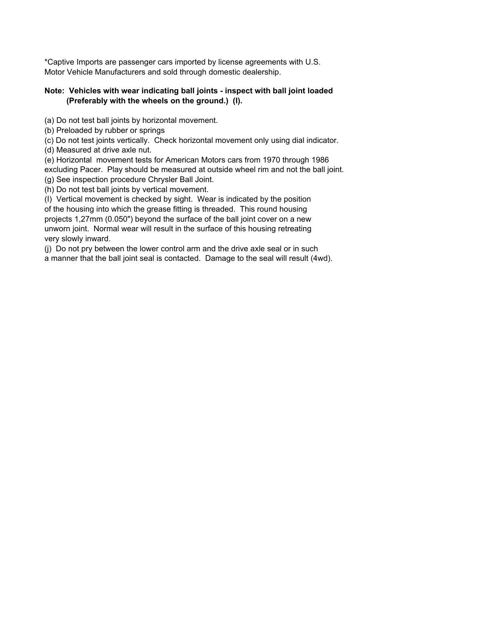\*Captive Imports are passenger cars imported by license agreements with U.S. Motor Vehicle Manufacturers and sold through domestic dealership.

## **Note: Vehicles with wear indicating ball joints - inspect with ball joint loaded (Preferably with the wheels on the ground.) (I).**

(a) Do not test ball joints by horizontal movement.

(b) Preloaded by rubber or springs

(c) Do not test joints vertically. Check horizontal movement only using dial indicator.

(d) Measured at drive axle nut.

(e) Horizontal movement tests for American Motors cars from 1970 through 1986 excluding Pacer. Play should be measured at outside wheel rim and not the ball joint. (g) See inspection procedure Chrysler Ball Joint.

(h) Do not test ball joints by vertical movement.

(I) Vertical movement is checked by sight. Wear is indicated by the position of the housing into which the grease fitting is threaded. This round housing projects 1,27mm (0.050") beyond the surface of the ball joint cover on a new unworn joint. Normal wear will result in the surface of this housing retreating very slowly inward.

(j) Do not pry between the lower control arm and the drive axle seal or in such a manner that the ball joint seal is contacted. Damage to the seal will result (4wd).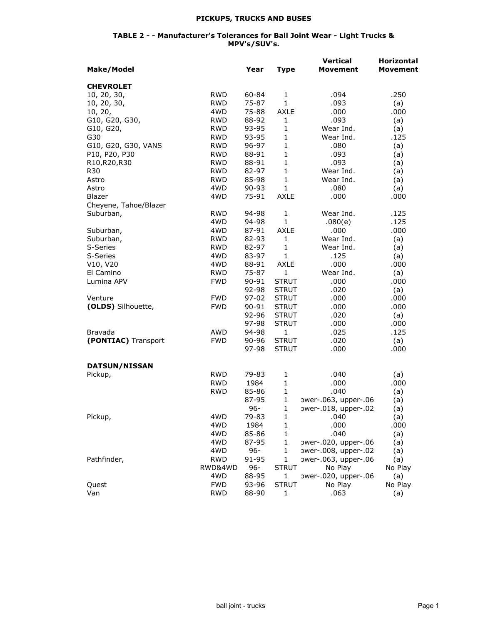# **PICKUPS, TRUCKS AND BUSES**

## **TABLE 2 - - Manufacturer's Tolerances for Ball Joint Wear - Light Trucks & MPV's/SUV's.**

|                       |            |           |                   | <b>Vertical</b>      | Horizontal |
|-----------------------|------------|-----------|-------------------|----------------------|------------|
| <b>Make/Model</b>     |            | Year      | <b>Type</b>       | Movement             | Movement   |
| <b>CHEVROLET</b>      |            |           |                   |                      |            |
| 10, 20, 30,           | <b>RWD</b> | 60-84     | 1                 | .094                 | .250       |
| 10, 20, 30,           | <b>RWD</b> | 75-87     | $\mathbf{1}$      | .093                 | (a)        |
| 10, 20,               | 4WD        | 75-88     | <b>AXLE</b>       | .000                 | .000       |
| G10, G20, G30,        | <b>RWD</b> | 88-92     | 1                 | .093                 | (a)        |
| G10, G20,             | <b>RWD</b> | 93-95     | $\mathbf{1}$      | Wear Ind.            | (a)        |
| G30                   | <b>RWD</b> | 93-95     | $\mathbf 1$       | Wear Ind.            | .125       |
| G10, G20, G30, VANS   | <b>RWD</b> | 96-97     | $\mathbf{1}$      | .080                 | (a)        |
| P10, P20, P30         | <b>RWD</b> | 88-91     | $\mathbf{1}$      | .093                 | (a)        |
| R10,R20,R30           | <b>RWD</b> | 88-91     | $\mathbf{1}$      | .093                 |            |
|                       |            |           | $\mathbf{1}$      |                      | (a)        |
| R30                   | <b>RWD</b> | 82-97     |                   | Wear Ind.            | (a)        |
| Astro                 | <b>RWD</b> | 85-98     | $\mathbf{1}$      | Wear Ind.            | (a)        |
| Astro                 | 4WD        | $90 - 93$ | $\mathbf{1}$      | .080                 | (a)        |
| Blazer                | 4WD        | 75-91     | <b>AXLE</b>       | .000                 | .000       |
| Cheyene, Tahoe/Blazer |            |           |                   |                      |            |
| Suburban,             | <b>RWD</b> | 94-98     | $\mathbf 1$       | Wear Ind.            | .125       |
|                       | 4WD        | 94-98     | $\mathbf{1}$      | .080(e)              | .125       |
| Suburban,             | 4WD        | 87-91     | <b>AXLE</b>       | .000                 | .000       |
| Suburban,             | <b>RWD</b> | 82-93     | 1                 | Wear Ind.            | (a)        |
| S-Series              | <b>RWD</b> | 82-97     | $\mathbf{1}$      | Wear Ind.            | (a)        |
| S-Series              | 4WD        | 83-97     | $\mathbf{1}$      | .125                 | (a)        |
| V10, V20              | 4WD        | 88-91     | <b>AXLE</b>       | .000                 | .000       |
| El Camino             | <b>RWD</b> | 75-87     | 1                 | Wear Ind.            | (a)        |
| Lumina APV            | <b>FWD</b> | 90-91     | <b>STRUT</b>      | .000                 | .000       |
|                       |            | 92-98     | <b>STRUT</b>      | .020                 | (a)        |
| Venture               | <b>FWD</b> | $97 - 02$ | <b>STRUT</b>      | .000                 | .000       |
| (OLDS) Silhouette,    | <b>FWD</b> | 90-91     | <b>STRUT</b>      | .000                 | .000       |
|                       |            | 92-96     | <b>STRUT</b>      | .020                 | (a)        |
|                       |            | 97-98     | <b>STRUT</b>      | .000                 | .000       |
| Bravada               | AWD        | 94-98     | 1                 | .025                 | .125       |
| (PONTIAC) Transport   | <b>FWD</b> | $90 - 96$ | <b>STRUT</b>      | .020                 | (a)        |
|                       |            | 97-98     | <b>STRUT</b>      | .000                 | .000       |
|                       |            |           |                   |                      |            |
| DATSUN/NISSAN         |            | 79-83     |                   |                      |            |
| Pickup,               | <b>RWD</b> |           | 1<br>$\mathbf{1}$ | .040<br>.000         | (a)        |
|                       | <b>RWD</b> | 1984      |                   |                      | .000       |
|                       | <b>RWD</b> | 85-86     | 1                 | .040                 | (a)        |
|                       |            | 87-95     | $\mathbf{1}$      | ower-.063, upper-.06 | (a)        |
|                       |            | $96 -$    | $\mathbf{1}$      | ower-.018, upper-.02 | (a)        |
| Pickup,               | 4WD        | 79-83     | 1                 | .040                 | (a)        |
|                       | 4WD        | 1984      | 1                 | .000                 | .000       |
|                       | 4WD        | 85-86     | 1                 | .040                 | (a)        |
|                       | 4WD        | 87-95     | 1                 | ower-.020, upper-.06 | (a)        |
|                       | 4WD        | $96 -$    | 1                 | ower-.008, upper-.02 | (a)        |
| Pathfinder,           | <b>RWD</b> | 91-95     | 1                 | ower-.063, upper-.06 | (a)        |
|                       | RWD&4WD    | $96 -$    | <b>STRUT</b>      | No Play              | No Play    |
|                       | 4WD        | 88-95     | 1                 | ower-.020, upper-.06 | (a)        |
| Quest                 | <b>FWD</b> | 93-96     | <b>STRUT</b>      | No Play              | No Play    |
| Van                   | <b>RWD</b> | 88-90     | 1                 | .063                 | (a)        |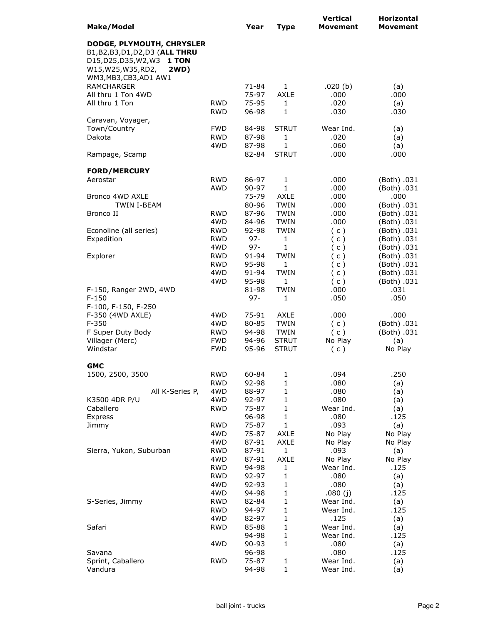| Make/Model                                                                                                                     |                   | Year           | <b>Type</b>                 | <b>Vertical</b><br><b>Movement</b> | <b>Horizontal</b><br><b>Movement</b> |
|--------------------------------------------------------------------------------------------------------------------------------|-------------------|----------------|-----------------------------|------------------------------------|--------------------------------------|
| DODGE, PLYMOUTH, CHRYSLER<br>B1, B2, B3, D1, D2, D3 (ALL THRU<br>D15, D25, D35, W2, W3<br>1 TON<br>W15, W25, W35, RD2,<br>2WD) |                   |                |                             |                                    |                                      |
| WM3, MB3, CB3, AD1 AW1                                                                                                         |                   |                |                             |                                    |                                      |
| <b>RAMCHARGER</b>                                                                                                              |                   | 71-84          | 1                           | .020(b)                            | (a)                                  |
| All thru 1 Ton 4WD                                                                                                             |                   | 75-97          | <b>AXLE</b>                 | .000                               | .000                                 |
| All thru 1 Ton                                                                                                                 | <b>RWD</b>        | 75-95          | 1                           | .020                               | (a)                                  |
|                                                                                                                                | RWD               | 96-98          | $\mathbf{1}$                | .030                               | .030                                 |
| Caravan, Voyager,                                                                                                              |                   |                |                             |                                    |                                      |
| Town/Country                                                                                                                   | <b>FWD</b>        | 84-98          | <b>STRUT</b>                | Wear Ind.                          | (a)                                  |
| Dakota                                                                                                                         | <b>RWD</b>        | 87-98          | 1                           | .020                               | (a)                                  |
|                                                                                                                                | 4WD               | 87-98          | $\mathbf{1}$                | .060                               | (a)                                  |
| Rampage, Scamp                                                                                                                 |                   | 82-84          | <b>STRUT</b>                | .000                               | .000                                 |
| <b>FORD/MERCURY</b>                                                                                                            |                   |                |                             |                                    |                                      |
| Aerostar                                                                                                                       | <b>RWD</b>        | 86-97          | $\mathbf{1}$                | .000                               | (Both) .031                          |
|                                                                                                                                | AWD               | 90-97          | $\mathbf{1}$                | .000                               | (Both) .031                          |
| Bronco 4WD AXLE                                                                                                                |                   | 75-79          | <b>AXLE</b>                 | .000                               | .000                                 |
| TWIN I-BEAM                                                                                                                    |                   | 80-96          | <b>TWIN</b>                 | .000                               | (Both) .031                          |
| Bronco II                                                                                                                      | <b>RWD</b>        | 87-96          | <b>TWIN</b>                 | .000                               | (Both) .031                          |
|                                                                                                                                | 4WD               | 84-96          | <b>TWIN</b>                 | .000                               | (Both) .031                          |
| Econoline (all series)                                                                                                         | <b>RWD</b>        | 92-98          | <b>TWIN</b>                 | (c)                                | (Both) .031                          |
| Expedition                                                                                                                     | <b>RWD</b>        | $97 -$         | 1                           | (c)                                | (Both) .031                          |
| Explorer                                                                                                                       | 4WD               | $97 -$         | 1                           | ( c )                              | (Both) .031                          |
|                                                                                                                                | <b>RWD</b><br>RWD | 91-94<br>95-98 | <b>TWIN</b><br>$\mathbf{1}$ | (c)                                | (Both) .031<br>(Both) .031           |
|                                                                                                                                | 4WD               | 91-94          | <b>TWIN</b>                 | (c)<br>(c)                         | (Both) .031                          |
|                                                                                                                                | 4WD               | 95-98          | 1                           | (c)                                | (Both) .031                          |
| F-150, Ranger 2WD, 4WD                                                                                                         |                   | 81-98          | <b>TWIN</b>                 | .000                               | .031                                 |
| $F-150$                                                                                                                        |                   | $97 -$         | 1                           | .050                               | .050                                 |
| F-100, F-150, F-250                                                                                                            |                   |                |                             |                                    |                                      |
| F-350 (4WD AXLE)                                                                                                               | 4WD               | 75-91          | <b>AXLE</b>                 | .000                               | .000                                 |
| $F-350$                                                                                                                        | 4WD               | 80-85          | <b>TWIN</b>                 | (c)                                | (Both) .031                          |
| F Super Duty Body                                                                                                              | <b>RWD</b>        | 94-98          | <b>TWIN</b>                 | (c)                                | (Both) .031                          |
| Villager (Merc)                                                                                                                | <b>FWD</b>        | 94-96          | <b>STRUT</b>                | No Play                            | (a)                                  |
| Windstar                                                                                                                       | <b>FWD</b>        | 95-96          | <b>STRUT</b>                | (c)                                | No Play                              |
| <b>GMC</b>                                                                                                                     |                   |                |                             |                                    |                                      |
| 1500, 2500, 3500                                                                                                               | <b>RWD</b>        | 60-84          | $\mathbf{1}$                | .094                               | .250                                 |
|                                                                                                                                | <b>RWD</b>        | 92-98          | $\mathbf{1}$                | .080                               | (a)                                  |
| All K-Series P,                                                                                                                | 4WD               | 88-97          | $\mathbf 1$                 | .080                               | (a)                                  |
| K3500 4DR P/U                                                                                                                  | 4WD               | 92-97          | $\mathbf{1}$                | .080                               | (a)                                  |
| Caballero                                                                                                                      | <b>RWD</b>        | 75-87          | $\mathbf{1}$                | Wear Ind.                          | (a)                                  |
| Express                                                                                                                        |                   | 96-98          | $\mathbf{1}$                | .080                               | .125                                 |
| Jimmy                                                                                                                          | <b>RWD</b>        | 75-87          | $\mathbf{1}$                | .093                               | (a)                                  |
|                                                                                                                                | 4WD               | 75-87          | <b>AXLE</b>                 | No Play                            | No Play                              |
|                                                                                                                                | 4WD               | 87-91          | AXLE                        | No Play                            | No Play                              |
| Sierra, Yukon, Suburban                                                                                                        | <b>RWD</b><br>4WD | 87-91<br>87-91 | 1<br><b>AXLE</b>            | .093<br>No Play                    | (a)<br>No Play                       |
|                                                                                                                                | RWD               | 94-98          | 1                           | Wear Ind.                          | .125                                 |
|                                                                                                                                | <b>RWD</b>        | 92-97          | $\mathbf{1}$                | .080                               | (a)                                  |
|                                                                                                                                | 4WD               | 92-93          | $\mathbf{1}$                | .080                               | (a)                                  |
|                                                                                                                                | 4WD               | 94-98          | $\mathbf{1}$                | .080(j)                            | .125                                 |
| S-Series, Jimmy                                                                                                                | <b>RWD</b>        | 82-84          | $\mathbf{1}$                | Wear Ind.                          | (a)                                  |
|                                                                                                                                | RWD               | 94-97          | $\mathbf{1}$                | Wear Ind.                          | .125                                 |
|                                                                                                                                | 4WD               | 82-97          | 1                           | .125                               | (a)                                  |
| Safari                                                                                                                         | <b>RWD</b>        | 85-88          | 1                           | Wear Ind.                          | (a)                                  |
|                                                                                                                                |                   | 94-98          | $\mathbf 1$                 | Wear Ind.                          | .125                                 |
|                                                                                                                                | 4WD               | 90-93          | $\mathbf{1}$                | .080                               | (a)                                  |
| Savana                                                                                                                         |                   | 96-98          |                             | .080                               | .125                                 |
| Sprint, Caballero                                                                                                              | <b>RWD</b>        | 75-87          | 1                           | Wear Ind.                          | (a)                                  |
| Vandura                                                                                                                        |                   | 94-98          | $\mathbf{1}$                | Wear Ind.                          | (a)                                  |